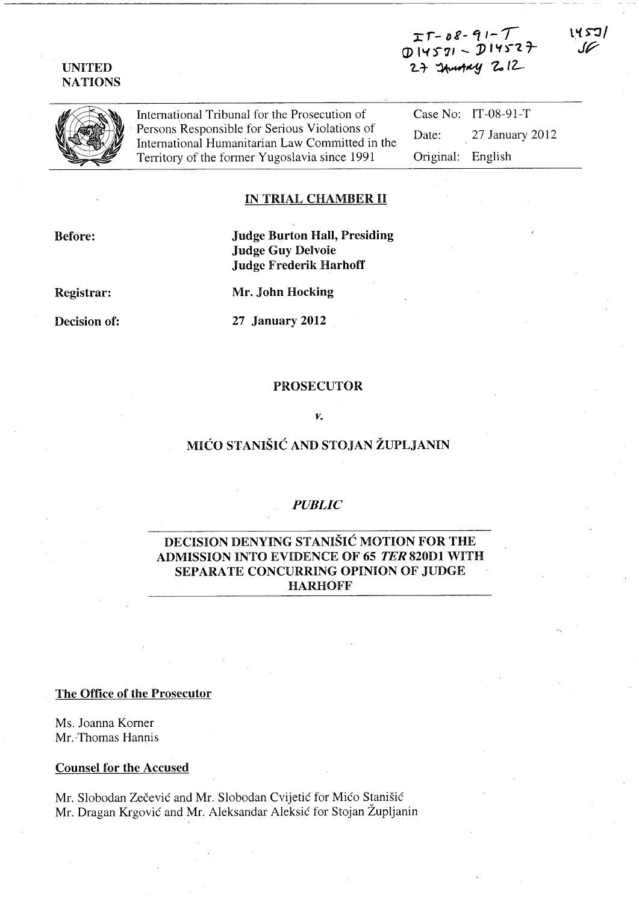### UNITED NATIONS

 $\Gamma$ T – D & –  $\mathcal{I}$  /  $\mathcal{I}$   $\mathcal{I}$  $D$  14571 -  $D$ 1452 $\tau$  $2 +$  Innotary  $2.12$ 



International Tribunal for the Prosecution of . Persons Responsible for Serious Violations of International Humanitarian Law Committed in the Territory of the former Yugoslavia since 1991

Case No: IT-08-91-T Date: 27 January 2012 Original: English

#### IN TRIAL CHAMBER II

Before:

# Judge Burton Hall, Presiding Judge Guy Delvoie Judge Frederik Harhoff

Registrar:

Mr. John Hocking

Decision of:

27 January 2012

#### PROSECUTOR

#### *v.*

# MICO STANISIC AND STOJAN ZUPLJANIN

### *PUBLIC*

# DECISION DENYING STANISIC MOTION FOR THE ADMISSION INTO EVIDENCE OF 65 TER 820D1 WITH SEPARATE CONCURRING OPINION OF JUDGE HARHOFF

The Office of the Prosecutor

Ms. Joanna Korner Mr. Thomas Hannis

Counsel for the Accused

Mr. Slobodan Zečević and Mr. Slobodan Cvijetić for Mićo Stanišić Mr. Dragan Krgović and Mr. Aleksandar Aleksić for Stojan Župljanin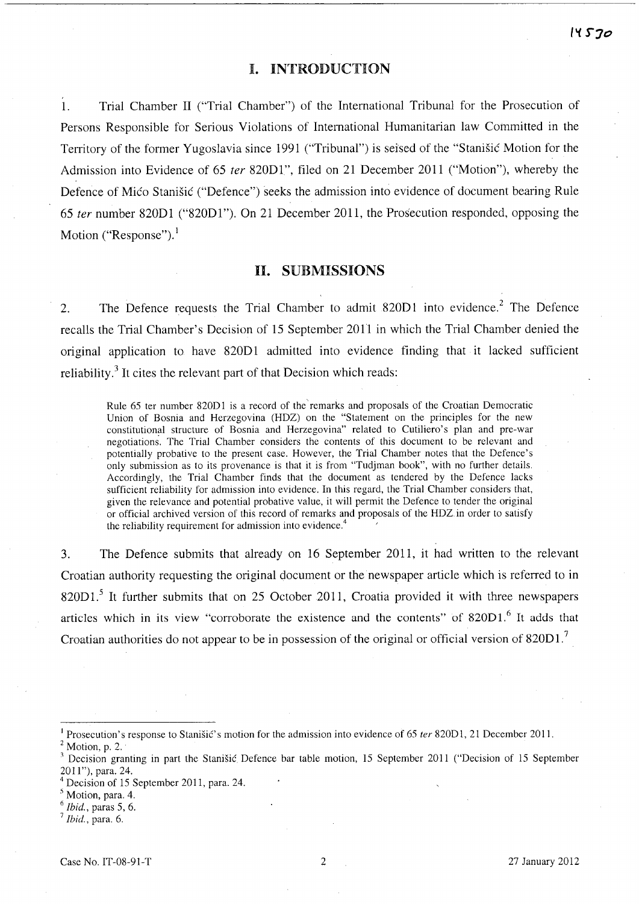### I. INTRODUCTION

1. Trial Chamber II ("Trial Chamber") of the International Tribunal for the Prosecution of Persons Responsible for Serious Violations of International Humanitarian law Committed in the Territory of the former Yugoslavia since 1991 ("Tribunal") is seised of the "Stanisic Motion for the Admission into Evidence of 65 *ter* 820D1", filed on 21 December 2011 ("Motion"), whereby the Defence of Mico Stanisic ("Defence") seeks the admission into evidence of document bearing Rule *65 ter* number 820D1 ("820Dl"). On 21 December 2011, the Prosecution responded, opposing the Motion ("Response").<sup>1</sup>

### **H.** SUBMISSIONS

2. The Defence requests the Trial Chamber to admit 820D1 into evidence.<sup>2</sup> The Defence recalls the Trial Chamber's Decision of 15 September 2011 in which the Trial Chamber denied the original application to have 820Dl admitted into evidence finding that it lacked sufficient reliability.<sup>3</sup> It cites the relevant part of that Decision which reads:

Rule 65 ter number 820D1 is a record of the remarks and proposals of the Croatian Democratic Union of Bosnia and Herzegovina (HDZ) on the "Statement on the principles for the new constitutional structure of Bosnia and Herzegovina" related to Cutiliero's plan and pre-war negotiations. The Trial Chamber considers the contents of this document to be relevant and potentially probative to the present case. However, the Trial Chamber notes that the Defence's only submission as to its provenance is that it is from "Tudjman book", with no further details. Accordingly, the Trial Chamber finds that the document as tendered by the Defence lacks sufficient reliability for admission into evidence. In this regard, the Trial Chamber considers that, given the relevance and potential probative value, it will permit the Defence to tender the original or official archived version of this record of remarks and proposals of the HDZ. in order to satisfy the reliability requirement for admission into evidence.<sup>4</sup>

3. The Defence submits that already on 16 September 2011, it had written to the relevant Croatian authority requesting the original document or the newspaper article which is referred to in 820D1.<sup>5</sup> It further submits that on 25 October 2011, Croatia provided it with three newspapers articles which in its view "corroborate the existence and the contents" of  $820D1$ .<sup>6</sup> It adds that Croatian authorities do not appear to be in possession of the original or official version of  $820D1$ .<sup>7</sup>

Prosecution's response to Stanišić's motion for the admission into evidence of 65 ter 820D1, 21 December 2011.

 $2$  Motion, p. 2.

<sup>&</sup>lt;sup>3</sup> Decision granting in part the Stanišić Defence bar table motion, 15 September 2011 ("Decision of 15 September 2011"), para. 24.

<sup>4</sup> Decision of 15 September 2011, para. 24.

<sup>5</sup> Motion, para. 4.

*<sup>6</sup> Ibid.,* paras 5, 6.

<sup>7</sup>*Ibid.,* para. 6.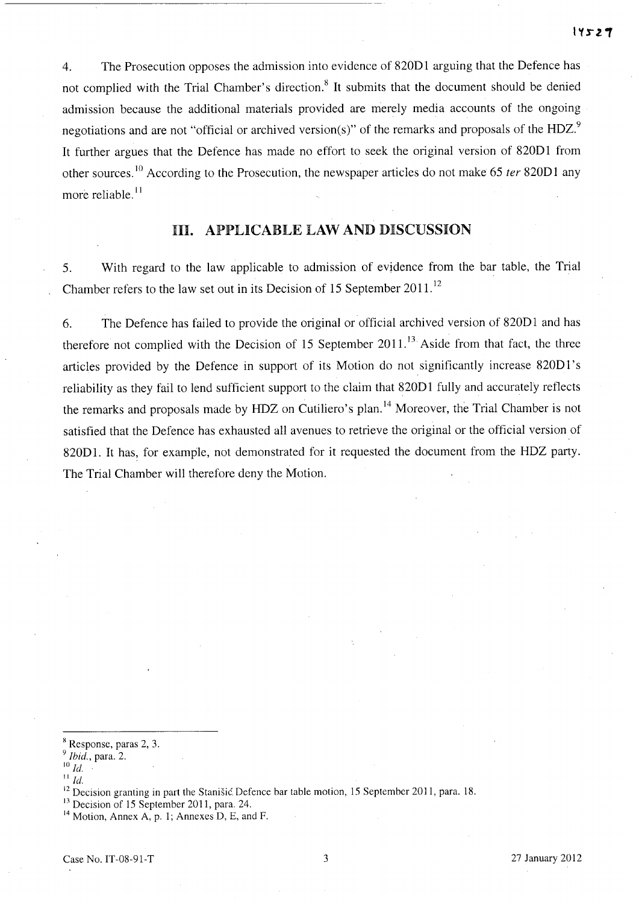4. The Prosecution opposes the admission into evidence of 820D1 arguing that the Defence has not complied with the Trial Chamber's direction.<sup>8</sup> It submits that the document should be denied admission because the additional materials provided are merely media accounts of the ongoing negotiations and are not "official or archived version(s)" of the remarks and proposals of the HDZ. $9$ It further argues that the Defence has made no effort to seek the original version of 82001 from other sources. 10 According to the Prosecution, the newspaper articles do not make 65 *ter* 82001 any more reliable.<sup>11</sup>

## HI. APPLICABLE LAW AND DISCUSSION

5. With regard to the law applicable to admission of evidence from the bar table, the Trial Chamber refers to the law set out in its Decision of 15 September 2011.<sup>12</sup>

6. The Defence has failed to provide the original or official archived version of 820D1 and has therefore not complied with the Decision of 15 September  $2011$ .<sup>13</sup> Aside from that fact, the three articles provided by the Defence in support of its Motion do not significantly increase 820D l' s reliability as they fail to lend sufficient support to the claim that 820D1 fully and accurately reflects the remarks and proposals made by HDZ on Cutiliero's plan. 14 Moreover, the Trial Chamber is not satisfied that the Defence has exhausted all avenues to retrieve the original or the official version of 820D1. It has, for example, not demonstrated for it requested the document from the HDZ party. The Trial Chamber will therefore deny the Motion.

<sup>8</sup> Response, paras 2, 3.

<sup>9</sup>*Ihid.,* para. 2.

<sup>10</sup>*Id.* 

 $\overline{\phantom{a}}^{11}$ *Id.* 

<sup>&</sup>lt;sup>12</sup> Decision granting in part the Stanišić. Defence bar table motion, 15 September 2011, para. 18.

<sup>&</sup>lt;sup>13</sup> Decision of 15 September 2011, para. 24.

 $14$  Motion, Annex A, p. 1; Annexes D, E, and F.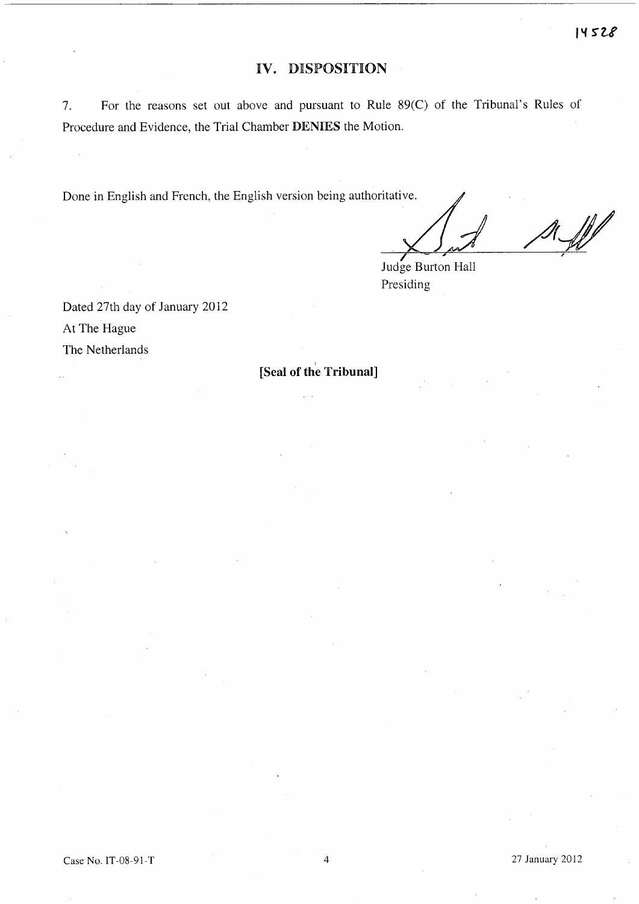# **IV. DISPOSITION**

7. For the reasons set out above and pursuant to Rule 89(C) of the Tribunal's Rules of Procedure and Evidence, the Trial Chamber **DENIES** the Motion.

Done in English and French, the English version being authoritative.

**I** '

Judge Burton Hall Presiding

Dated 27th day of January 2012 At The Hague The Netherlands

I **[Seal of the Tribunal]**